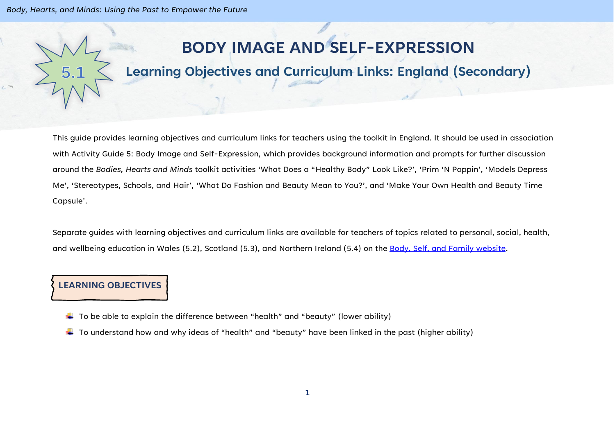*Body, Hearts, and Minds: Using the Past to Empower the Future*

## **BODY IMAGE AND SELF-EXPRESSION**

## **Learning Objectives and Curriculum Links: England (Secondary)**

This guide provides learning objectives and curriculum links for teachers using the toolkit in England. It should be used in association with Activity Guide 5: Body Image and Self-Expression, which provides background information and prompts for further discussion around the *Bodies, Hearts and Minds* toolkit activities 'What Does a "Healthy Body" Look Like?', 'Prim 'N Poppin', 'Models Depress Me', 'Stereotypes, Schools, and Hair', 'What Do Fashion and Beauty Mean to You?', and 'Make Your Own Health and Beauty Time Capsule'.

Separate guides with learning objectives and curriculum links are available for teachers of topics related to personal, social, health, and wellbeing education in Wales (5.2), Scotland (5.3), and Northern Ireland (5.4) on the [Body, Self, and Family website.](https://bodyselffamily.org/)

## **LEARNING OBJECTIVES**

- $\ddotplus$  To be able to explain the difference between "health" and "beauty" (lower ability)
- $\ddotplus$  To understand how and why ideas of "health" and "beauty" have been linked in the past (higher ability)